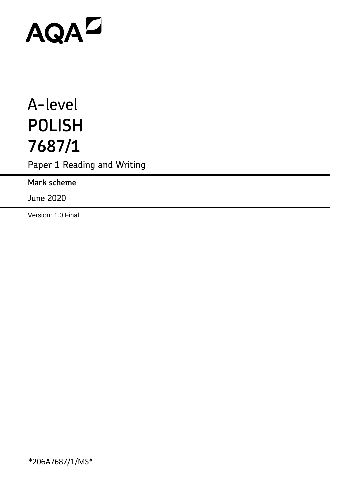# AQAD

# A-level **POLISH 7687/1**

Paper 1 Reading and Writing

**Mark scheme**

June 2020

Version: 1.0 Final

\*206A7687/1/MS\*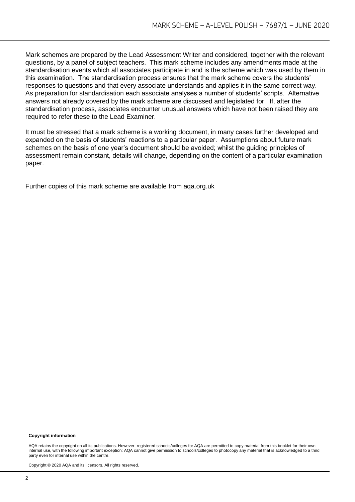Mark schemes are prepared by the Lead Assessment Writer and considered, together with the relevant questions, by a panel of subject teachers. This mark scheme includes any amendments made at the standardisation events which all associates participate in and is the scheme which was used by them in this examination. The standardisation process ensures that the mark scheme covers the students' responses to questions and that every associate understands and applies it in the same correct way. As preparation for standardisation each associate analyses a number of students' scripts. Alternative answers not already covered by the mark scheme are discussed and legislated for. If, after the standardisation process, associates encounter unusual answers which have not been raised they are required to refer these to the Lead Examiner.

It must be stressed that a mark scheme is a working document, in many cases further developed and expanded on the basis of students' reactions to a particular paper. Assumptions about future mark schemes on the basis of one year's document should be avoided; whilst the guiding principles of assessment remain constant, details will change, depending on the content of a particular examination paper.

Further copies of this mark scheme are available from aqa.org.uk

#### **Copyright information**

AQA retains the copyright on all its publications. However, registered schools/colleges for AQA are permitted to copy material from this booklet for their own internal use, with the following important exception: AQA cannot give permission to schools/colleges to photocopy any material that is acknowledged to a third party even for internal use within the centre.

Copyright © 2020 AQA and its licensors. All rights reserved.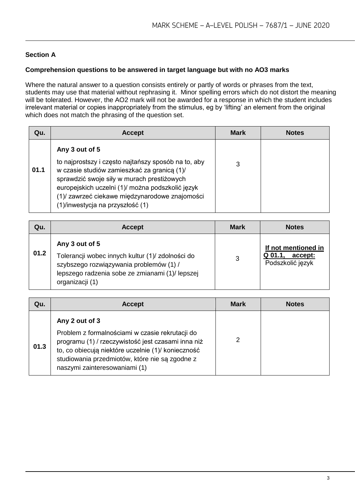### **Section A**

#### **Comprehension questions to be answered in target language but with no AO3 marks**

Where the natural answer to a question consists entirely or partly of words or phrases from the text, students may use that material without rephrasing it. Minor spelling errors which do not distort the meaning will be tolerated. However, the AO2 mark will not be awarded for a response in which the student includes irrelevant material or copies inappropriately from the stimulus, eg by 'lifting' an element from the original which does not match the phrasing of the question set.

| Qu.  | <b>Accept</b>                                                                                                                                                                                                                                                                                               | <b>Mark</b> | <b>Notes</b> |
|------|-------------------------------------------------------------------------------------------------------------------------------------------------------------------------------------------------------------------------------------------------------------------------------------------------------------|-------------|--------------|
| 01.1 | Any 3 out of 5<br>to najprostszy i często najtańszy sposób na to, aby<br>w czasie studiów zamieszkać za granicą (1)/<br>sprawdzić swoje siły w murach prestiżowych<br>europejskich uczelni (1)/ można podszkolić język<br>(1) zawrzeć ciekawe międzynarodowe znajomości<br>(1) inwestycja na przyszłość (1) | 3           |              |

| Qu.  | <b>Accept</b>                                                                                                                                                                       | <b>Mark</b> | <b>Notes</b>                                                    |
|------|-------------------------------------------------------------------------------------------------------------------------------------------------------------------------------------|-------------|-----------------------------------------------------------------|
| 01.2 | Any 3 out of 5<br>Tolerancji wobec innych kultur (1)/ zdolności do<br>szybszego rozwiązywania problemów (1) /<br>lepszego radzenia sobe ze zmianami (1)/ lepszej<br>organizacji (1) | 3           | If not mentioned in<br>$Q$ 01.1,<br>accept:<br>Podszkolić język |

| Qu.  | <b>Accept</b>                                                                                                                                                                                                                                                    | <b>Mark</b> | <b>Notes</b> |
|------|------------------------------------------------------------------------------------------------------------------------------------------------------------------------------------------------------------------------------------------------------------------|-------------|--------------|
| 01.3 | Any 2 out of 3<br>Problem z formalnościami w czasie rekrutacji do<br>programu (1) / rzeczywistość jest czasami inna niż<br>to, co obiecują niektóre uczelnie (1)/ konieczność<br>studiowania przedmiotów, które nie są zgodne z<br>naszymi zainteresowaniami (1) | 2           |              |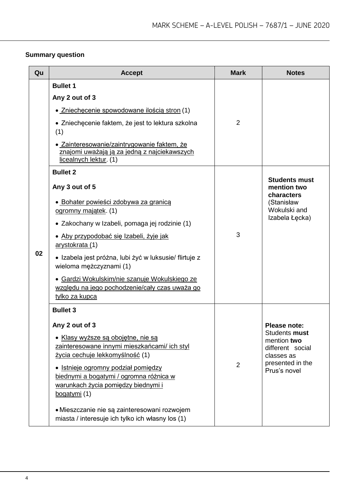# **Summary question**

| Qu | <b>Accept</b>                                                                                                                                                                                                                                                                                                                                                                                                                | <b>Mark</b>    | <b>Notes</b>                                                                                                       |
|----|------------------------------------------------------------------------------------------------------------------------------------------------------------------------------------------------------------------------------------------------------------------------------------------------------------------------------------------------------------------------------------------------------------------------------|----------------|--------------------------------------------------------------------------------------------------------------------|
|    | <b>Bullet 1</b><br>Any 2 out of 3<br>· Zniechecenie spowodowane ilością stron (1)<br>• Zniechęcenie faktem, że jest to lektura szkolna                                                                                                                                                                                                                                                                                       | $\overline{2}$ |                                                                                                                    |
|    | (1)<br>· Zainteresowanie/zaintrygowanie faktem, że<br>znajomi uważają ją za jedną z najciekawszych<br>licealnych lektur. (1)                                                                                                                                                                                                                                                                                                 |                |                                                                                                                    |
| 02 | <b>Bullet 2</b><br>Any 3 out of 5<br>· Bohater powieści zdobywa za granicą<br>ogromny majątek. (1)<br>• Zakochany w Izabeli, pomaga jej rodzinie (1)<br>· Aby przypodobać się Izabeli, żyje jak<br>arystokrata (1)<br>· Izabela jest próżna, lubi żyć w luksusie/ flirtuje z<br>wieloma mężczyznami (1)<br>· Gardzi Wokulskim/nie szanuje Wokulskiego ze<br>względu na jego pochodzenie/cały czas uważa go<br>tylko za kupca | 3              | <b>Students must</b><br>mention two<br>characters<br>(Stanisław<br>Wokulski and<br>Izabela Łęcka)                  |
|    | <b>Bullet 3</b><br>Any 2 out of 3<br>• Klasy wyższe są obojętne, nie są<br>zainteresowane innymi mieszkańcami/ ich styl<br><u>życia cechuje lekkomyślność</u> (1)<br>• Istnieje ogromny podział pomiędzy<br>biednymi a bogatymi / ogromna różnica w<br>warunkach życia pomiędzy biednymi i<br>bogatymi (1)<br>• Mieszczanie nie są zainteresowani rozwojem<br>miasta / interesuje ich tylko ich własny los (1)               | $\overline{2}$ | Please note:<br>Students must<br>mention two<br>different social<br>classes as<br>presented in the<br>Prus's novel |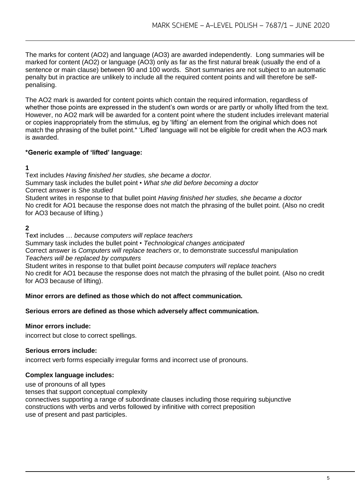The marks for content (AO2) and language (AO3) are awarded independently. Long summaries will be marked for content (AO2) or language (AO3) only as far as the first natural break (usually the end of a sentence or main clause) between 90 and 100 words. Short summaries are not subject to an automatic penalty but in practice are unlikely to include all the required content points and will therefore be selfpenalising.

The AO2 mark is awarded for content points which contain the required information, regardless of whether those points are expressed in the student's own words or are partly or wholly lifted from the text. However, no AO2 mark will be awarded for a content point where the student includes irrelevant material or copies inappropriately from the stimulus, eg by 'lifting' an element from the original which does not match the phrasing of the bullet point.\* 'Lifted' language will not be eligible for credit when the AO3 mark is awarded.

#### **\*Generic example of 'lifted' language:**

# **1**

Text includes *Having finished her studies, she became a doctor*. Summary task includes the bullet point • *What she did before becoming a doctor* Correct answer is *She studied* Student writes in response to that bullet point *Having finished her studies, she became a doctor* No credit for AO1 because the response does not match the phrasing of the bullet point. (Also no credit for AO3 because of lifting.)

# **2**

Text includes … *because computers will replace teachers* Summary task includes the bullet point • *Technological changes anticipated* Correct answer is *Computers will replace teachers* or, to demonstrate successful manipulation *Teachers will be replaced by computers* Student writes in response to that bullet point *because computers will replace teachers*

No credit for AO1 because the response does not match the phrasing of the bullet point. (Also no credit for AO3 because of lifting).

#### **Minor errors are defined as those which do not affect communication.**

#### **Serious errors are defined as those which adversely affect communication.**

#### **Minor errors include:**

incorrect but close to correct spellings.

#### **Serious errors include:**

incorrect verb forms especially irregular forms and incorrect use of pronouns.

#### **Complex language includes:**

use of pronouns of all types

tenses that support conceptual complexity

connectives supporting a range of subordinate clauses including those requiring subjunctive constructions with verbs and verbs followed by infinitive with correct preposition use of present and past participles.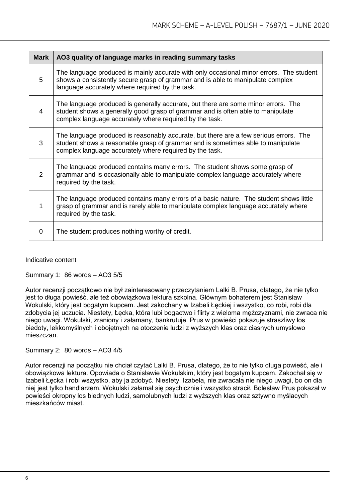| <b>Mark</b>    | AO3 quality of language marks in reading summary tasks                                                                                                                                                                              |
|----------------|-------------------------------------------------------------------------------------------------------------------------------------------------------------------------------------------------------------------------------------|
| 5              | The language produced is mainly accurate with only occasional minor errors. The student<br>shows a consistently secure grasp of grammar and is able to manipulate complex<br>language accurately where required by the task.        |
| 4              | The language produced is generally accurate, but there are some minor errors. The<br>student shows a generally good grasp of grammar and is often able to manipulate<br>complex language accurately where required by the task.     |
| 3              | The language produced is reasonably accurate, but there are a few serious errors. The<br>student shows a reasonable grasp of grammar and is sometimes able to manipulate<br>complex language accurately where required by the task. |
| $\overline{2}$ | The language produced contains many errors. The student shows some grasp of<br>grammar and is occasionally able to manipulate complex language accurately where<br>required by the task.                                            |
|                | The language produced contains many errors of a basic nature. The student shows little<br>grasp of grammar and is rarely able to manipulate complex language accurately where<br>required by the task.                              |
| 0              | The student produces nothing worthy of credit.                                                                                                                                                                                      |

Indicative content

Summary 1: 86 words – AO3 5/5

Autor recenzji początkowo nie był zainteresowany przeczytaniem Lalki B. Prusa, dlatego, że nie tylko jest to długa powieść, ale też obowiązkowa lektura szkolna. Głównym bohaterem jest Stanisław Wokulski, który jest bogatym kupcem. Jest zakochany w Izabeli Łęckiej i wszystko, co robi, robi dla zdobycia jej uczucia. Niestety, Łęcka, która lubi bogactwo i flirty z wieloma mężczyznami, nie zwraca nie niego uwagi. Wokulski, zraniony i załamany, bankrutuje. Prus w powieści pokazuje straszliwy los biedoty, lekkomyślnych i obojętnych na otoczenie ludzi z wyższych klas oraz ciasnych umysłowo mieszczan.

Summary 2: 80 words – AO3 4/5

Autor recenzji na początku nie chciał czytać Lalki B. Prusa, dlatego, że to nie tylko długa powieść, ale i obowiązkowa lektura. Opowiada o Stanisławie Wokulskim, który jest bogatym kupcem. Zakochał się w Izabeli Łęcka i robi wszystko, aby ja zdobyć. Niestety, Izabela, nie zwracała nie niego uwagi, bo on dla niej jest tylko handlarzem. Wokulski załamał się psychicznie i wszystko stracił. Bolesław Prus pokazał w powieści okropny los biednych ludzi, samolubnych ludzi z wyższych klas oraz sztywno myślacych mieszkańców miast.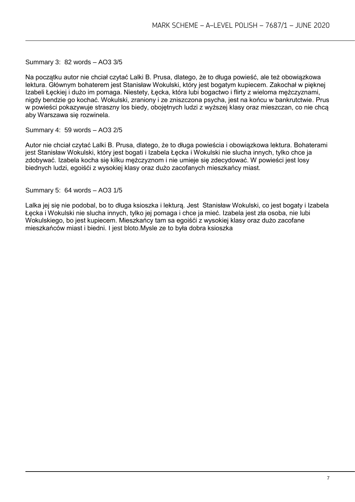Summary 3: 82 words – AO3 3/5

Na początku autor nie chciał czytać Lalki B. Prusa, dlatego, że to długa powieść, ale też obowiązkowa lektura. Głównym bohaterem jest Stanisław Wokulski, który jest bogatym kupiecem. Zakochał w pięknej Izabeli Łęckiej i dużo im pomaga. Niestety, Łęcka, która lubi bogactwo i flirty z wieloma mężczyznami, nigdy bendzie go kochać. Wokulski, zraniony i ze zniszczona psycha, jest na końcu w bankrutctwie. Prus w powieści pokazywuje straszny los biedy, obojętnych ludzi z wyższej klasy oraz mieszczan, co nie chcą aby Warszawa się rozwinela.

Summary 4: 59 words – AO3 2/5

Autor nie chciał czytać Lalki B. Prusa, dlatego, że to długa powieścia i obowiązkowa lektura. Bohaterami jest Stanisław Wokulski, który jest bogati i Izabela Łęcka i Wokulski nie slucha innych, tylko chce ja zdobywać. Izabela kocha się kilku mężczyznom i nie umieje się zdecydować. W powieści jest losy biednych ludzi, egoiśći z wysokiej klasy oraz dużo zacofanych mieszkańcy miast.

Summary 5: 64 words – AO3 1/5

Lalka jej się nie podobal, bo to długa ksioszka i lekturą. Jest Stanisław Wokulski, co jest bogaty i Izabela Łęcka i Wokulski nie slucha innych, tylko jej pomaga i chce ja mieć. Izabela jest zła osoba, nie lubi Wokulskiego, bo jest kupiecem. Mieszkańcy tam sa egoiśći z wysokiej klasy oraz dużo zacofane mieszkańców miast i biedni. I jest bloto.Mysle ze to była dobra ksioszka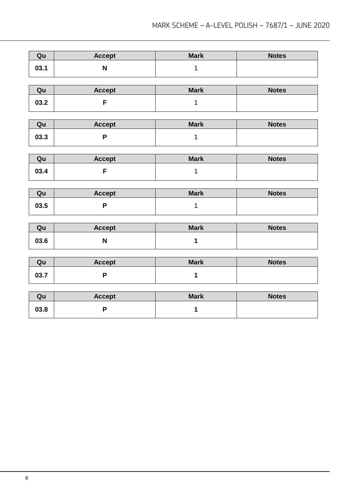| Qu   | <b>Accept</b>             | <b>Mark</b>  | <b>Notes</b> |
|------|---------------------------|--------------|--------------|
| 03.1 | $\boldsymbol{\mathsf{N}}$ | $\mathbf 1$  |              |
|      |                           |              |              |
| Qu   | <b>Accept</b>             | <b>Mark</b>  | <b>Notes</b> |
| 03.2 | F                         | $\mathbf{1}$ |              |
|      |                           |              |              |
| Qu   | <b>Accept</b>             | <b>Mark</b>  | <b>Notes</b> |
| 03.3 | P                         | $\mathbf 1$  |              |
|      |                           |              |              |
| Qu   | <b>Accept</b>             | <b>Mark</b>  | <b>Notes</b> |
| 03.4 | F                         | 1            |              |
|      |                           |              |              |
| Qu   | <b>Accept</b>             | <b>Mark</b>  | <b>Notes</b> |
| 03.5 | P                         | $\mathbf 1$  |              |
|      |                           |              |              |
| Qu   | <b>Accept</b>             | <b>Mark</b>  | <b>Notes</b> |
| 03.6 | $\boldsymbol{\mathsf{N}}$ | 1            |              |
|      |                           |              |              |
| Qu   | <b>Accept</b>             | <b>Mark</b>  | <b>Notes</b> |
| 03.7 | P                         | 1            |              |
|      |                           |              |              |
| Qu   | <b>Accept</b>             | <b>Mark</b>  | <b>Notes</b> |
| 03.8 | P                         | 1            |              |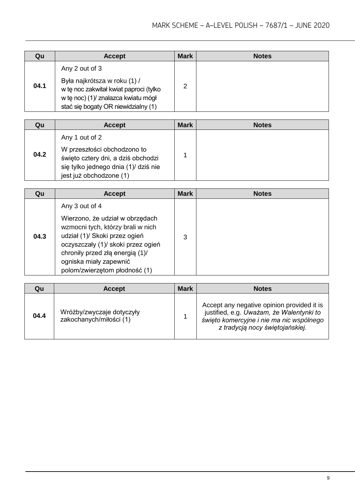| Qu   | <b>Accept</b>                                                                                                                                                          | <b>Mark</b> | <b>Notes</b> |
|------|------------------------------------------------------------------------------------------------------------------------------------------------------------------------|-------------|--------------|
| 04.1 | Any 2 out of 3<br>Była najkrótsza w roku (1) /<br>w tę noc zakwitał kwiat paproci (tylko<br>w tę noc) (1)/ znalazca kwiatu mógł<br>stać się bogaty OR niewidzialny (1) | っ           |              |

| Qu   | <b>Accept</b>                                                                                                                                          | <b>Mark</b> | <b>Notes</b> |
|------|--------------------------------------------------------------------------------------------------------------------------------------------------------|-------------|--------------|
| 04.2 | Any 1 out of 2<br>W przeszłości obchodzono to<br>święto cztery dni, a dziś obchodzi<br>się tylko jednego dnia (1)/ dziś nie<br>jest już obchodzone (1) |             |              |

| Qu   | <b>Accept</b>                                                                                                                                                                                                                                               | <b>Mark</b> | <b>Notes</b> |
|------|-------------------------------------------------------------------------------------------------------------------------------------------------------------------------------------------------------------------------------------------------------------|-------------|--------------|
| 04.3 | Any 3 out of 4<br>Wierzono, że udział w obrzędach<br>wzmocni tych, którzy brali w nich<br>udział (1)/ Skoki przez ogień<br>oczyszczały (1)/ skoki przez ogień<br>chroniły przed złą energią (1)/<br>ogniska miały zapewnić<br>polom/zwierzętom płodność (1) | 3           |              |

| Qu   | <b>Accept</b>                                        | <b>Mark</b> | <b>Notes</b>                                                                                                                                                          |
|------|------------------------------------------------------|-------------|-----------------------------------------------------------------------------------------------------------------------------------------------------------------------|
| 04.4 | Wróżby/zwyczaje dotyczyły<br>zakochanych/miłości (1) |             | Accept any negative opinion provided it is<br>justified, e.g. Uważam, że Walentynki to<br>święto komercyjne i nie ma nic wspólnego<br>z tradycją nocy świętojańskiej. |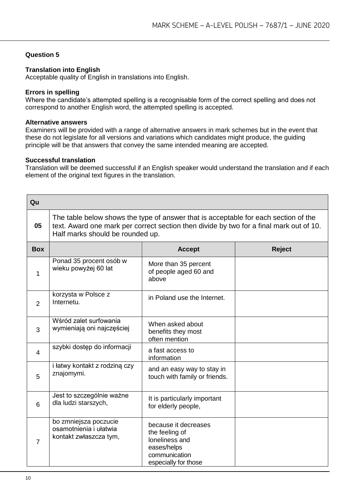#### **Question 5**

#### **Translation into English**

Acceptable quality of English in translations into English.

#### **Errors in spelling**

Where the candidate's attempted spelling is a recognisable form of the correct spelling and does not correspond to another English word, the attempted spelling is accepted.

#### **Alternative answers**

Examiners will be provided with a range of alternative answers in mark schemes but in the event that these do not legislate for all versions and variations which candidates might produce, the guiding principle will be that answers that convey the same intended meaning are accepted.

#### **Successful translation**

Translation will be deemed successful if an English speaker would understand the translation and if each element of the original text figures in the translation.

| Qu             |                                                                                                                                                                                                                    |                                                                                                                  |               |  |
|----------------|--------------------------------------------------------------------------------------------------------------------------------------------------------------------------------------------------------------------|------------------------------------------------------------------------------------------------------------------|---------------|--|
| 05             | The table below shows the type of answer that is acceptable for each section of the<br>text. Award one mark per correct section then divide by two for a final mark out of 10.<br>Half marks should be rounded up. |                                                                                                                  |               |  |
| <b>Box</b>     |                                                                                                                                                                                                                    | <b>Accept</b>                                                                                                    | <b>Reject</b> |  |
| 1              | Ponad 35 procent osób w<br>wieku powyżej 60 lat                                                                                                                                                                    | More than 35 percent<br>of people aged 60 and<br>above                                                           |               |  |
| 2              | korzysta w Polsce z<br>Internetu.                                                                                                                                                                                  | in Poland use the Internet.                                                                                      |               |  |
| 3              | Wśród zalet surfowania<br>wymieniają oni najczęściej                                                                                                                                                               | When asked about<br>benefits they most<br>often mention                                                          |               |  |
| $\overline{4}$ | szybki dostęp do informacji                                                                                                                                                                                        | a fast access to<br>information                                                                                  |               |  |
| 5              | i łatwy kontakt z rodziną czy<br>znajomymi.                                                                                                                                                                        | and an easy way to stay in<br>touch with family or friends.                                                      |               |  |
| 6              | Jest to szczególnie ważne<br>dla ludzi starszych,                                                                                                                                                                  | It is particularly important<br>for elderly people,                                                              |               |  |
| 7              | bo zmniejsza poczucie<br>osamotnienia i ułatwia<br>kontakt zwłaszcza tym,                                                                                                                                          | because it decreases<br>the feeling of<br>loneliness and<br>eases/helps<br>communication<br>especially for those |               |  |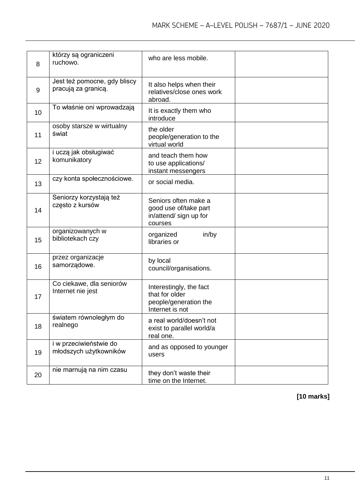| 8  | którzy są ograniczeni<br>ruchowo.                   | who are less mobile.                                                                  |  |
|----|-----------------------------------------------------|---------------------------------------------------------------------------------------|--|
| 9  | Jest też pomocne, gdy bliscy<br>pracują za granicą. | It also helps when their<br>relatives/close ones work<br>abroad.                      |  |
| 10 | To właśnie oni wprowadzają                          | It is exactly them who<br>introduce                                                   |  |
| 11 | osoby starsze w wirtualny<br>świat                  | the older<br>people/generation to the<br>virtual world                                |  |
| 12 | i uczą jak obsługiwać<br>komunikatory               | and teach them how<br>to use applications/<br>instant messengers                      |  |
| 13 | czy konta społecznościowe.                          | or social media.                                                                      |  |
| 14 | Seniorzy korzystają też<br>często z kursów          | Seniors often make a<br>good use of/take part<br>in/attend/ sign up for<br>courses    |  |
| 15 | organizowanych w<br>bibliotekach czy                | in/by<br>organized<br>libraries or                                                    |  |
| 16 | przez organizacje<br>samorządowe.                   | by local<br>council/organisations.                                                    |  |
| 17 | Co ciekawe, dla seniorów<br>Internet nie jest       | Interestingly, the fact<br>that for older<br>people/generation the<br>Internet is not |  |
| 18 | światem równoległym do<br>realnego                  | a real world/doesn't not<br>exist to parallel world/a<br>real one.                    |  |
| 19 | i w przeciwieństwie do<br>młodszych użytkowników    | and as opposed to younger<br>users                                                    |  |
| 20 | nie marnują na nim czasu                            | they don't waste their<br>time on the Internet.                                       |  |

# **[10 marks]**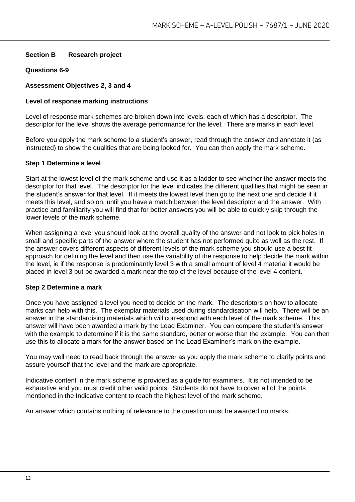#### **Section B Research project**

#### **Questions 6-9**

#### **Assessment Objectives 2, 3 and 4**

#### **Level of response marking instructions**

Level of response mark schemes are broken down into levels, each of which has a descriptor. The descriptor for the level shows the average performance for the level. There are marks in each level.

Before you apply the mark scheme to a student's answer, read through the answer and annotate it (as instructed) to show the qualities that are being looked for. You can then apply the mark scheme.

#### **Step 1 Determine a level**

Start at the lowest level of the mark scheme and use it as a ladder to see whether the answer meets the descriptor for that level. The descriptor for the level indicates the different qualities that might be seen in the student's answer for that level. If it meets the lowest level then go to the next one and decide if it meets this level, and so on, until you have a match between the level descriptor and the answer. With practice and familiarity you will find that for better answers you will be able to quickly skip through the lower levels of the mark scheme.

When assigning a level you should look at the overall quality of the answer and not look to pick holes in small and specific parts of the answer where the student has not performed quite as well as the rest. If the answer covers different aspects of different levels of the mark scheme you should use a best fit approach for defining the level and then use the variability of the response to help decide the mark within the level, ie if the response is predominantly level 3 with a small amount of level 4 material it would be placed in level 3 but be awarded a mark near the top of the level because of the level 4 content.

#### **Step 2 Determine a mark**

Once you have assigned a level you need to decide on the mark. The descriptors on how to allocate marks can help with this. The exemplar materials used during standardisation will help. There will be an answer in the standardising materials which will correspond with each level of the mark scheme. This answer will have been awarded a mark by the Lead Examiner. You can compare the student's answer with the example to determine if it is the same standard, better or worse than the example. You can then use this to allocate a mark for the answer based on the Lead Examiner's mark on the example.

You may well need to read back through the answer as you apply the mark scheme to clarify points and assure yourself that the level and the mark are appropriate.

Indicative content in the mark scheme is provided as a guide for examiners. It is not intended to be exhaustive and you must credit other valid points. Students do not have to cover all of the points mentioned in the Indicative content to reach the highest level of the mark scheme.

An answer which contains nothing of relevance to the question must be awarded no marks.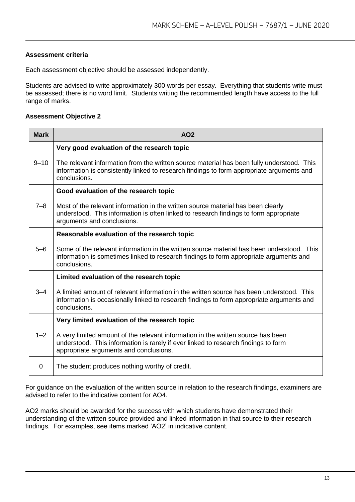#### **Assessment criteria**

Each assessment objective should be assessed independently.

Students are advised to write approximately 300 words per essay. Everything that students write must be assessed; there is no word limit. Students writing the recommended length have access to the full range of marks.

#### **Assessment Objective 2**

| <b>Mark</b> | <b>AO2</b>                                                                                                                                                                                                       |
|-------------|------------------------------------------------------------------------------------------------------------------------------------------------------------------------------------------------------------------|
| $9 - 10$    | Very good evaluation of the research topic                                                                                                                                                                       |
|             | The relevant information from the written source material has been fully understood. This<br>information is consistently linked to research findings to form appropriate arguments and<br>conclusions.           |
| $7 - 8$     | Good evaluation of the research topic                                                                                                                                                                            |
|             | Most of the relevant information in the written source material has been clearly<br>understood. This information is often linked to research findings to form appropriate<br>arguments and conclusions.          |
| $5 - 6$     | Reasonable evaluation of the research topic                                                                                                                                                                      |
|             | Some of the relevant information in the written source material has been understood. This<br>information is sometimes linked to research findings to form appropriate arguments and<br>conclusions.              |
| $3 - 4$     | Limited evaluation of the research topic                                                                                                                                                                         |
|             | A limited amount of relevant information in the written source has been understood. This<br>information is occasionally linked to research findings to form appropriate arguments and<br>conclusions.            |
|             | Very limited evaluation of the research topic                                                                                                                                                                    |
| $1 - 2$     | A very limited amount of the relevant information in the written source has been<br>understood. This information is rarely if ever linked to research findings to form<br>appropriate arguments and conclusions. |
| 0           | The student produces nothing worthy of credit.                                                                                                                                                                   |

For guidance on the evaluation of the written source in relation to the research findings, examiners are advised to refer to the indicative content for AO4.

AO2 marks should be awarded for the success with which students have demonstrated their understanding of the written source provided and linked information in that source to their research findings. For examples, see items marked 'AO2' in indicative content.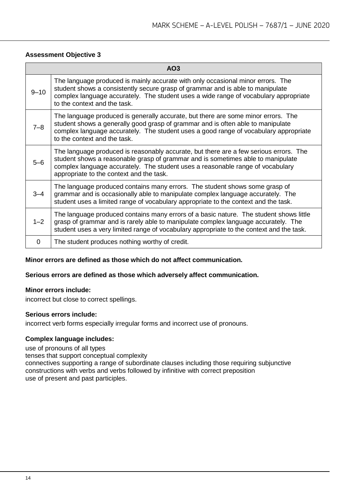#### **Assessment Objective 3**

| AO3      |                                                                                                                                                                                                                                                                                                        |  |
|----------|--------------------------------------------------------------------------------------------------------------------------------------------------------------------------------------------------------------------------------------------------------------------------------------------------------|--|
| $9 - 10$ | The language produced is mainly accurate with only occasional minor errors. The<br>student shows a consistently secure grasp of grammar and is able to manipulate<br>complex language accurately. The student uses a wide range of vocabulary appropriate<br>to the context and the task.              |  |
| $7 - 8$  | The language produced is generally accurate, but there are some minor errors. The<br>student shows a generally good grasp of grammar and is often able to manipulate<br>complex language accurately. The student uses a good range of vocabulary appropriate<br>to the context and the task.           |  |
| $5 - 6$  | The language produced is reasonably accurate, but there are a few serious errors. The<br>student shows a reasonable grasp of grammar and is sometimes able to manipulate<br>complex language accurately. The student uses a reasonable range of vocabulary<br>appropriate to the context and the task. |  |
| $3 - 4$  | The language produced contains many errors. The student shows some grasp of<br>grammar and is occasionally able to manipulate complex language accurately. The<br>student uses a limited range of vocabulary appropriate to the context and the task.                                                  |  |
| $1 - 2$  | The language produced contains many errors of a basic nature. The student shows little<br>grasp of grammar and is rarely able to manipulate complex language accurately. The<br>student uses a very limited range of vocabulary appropriate to the context and the task.                               |  |
| 0        | The student produces nothing worthy of credit.                                                                                                                                                                                                                                                         |  |

#### **Minor errors are defined as those which do not affect communication.**

#### **Serious errors are defined as those which adversely affect communication.**

#### **Minor errors include:**

incorrect but close to correct spellings.

#### **Serious errors include:**

incorrect verb forms especially irregular forms and incorrect use of pronouns.

#### **Complex language includes:**

use of pronouns of all types

tenses that support conceptual complexity

connectives supporting a range of subordinate clauses including those requiring subjunctive constructions with verbs and verbs followed by infinitive with correct preposition use of present and past participles.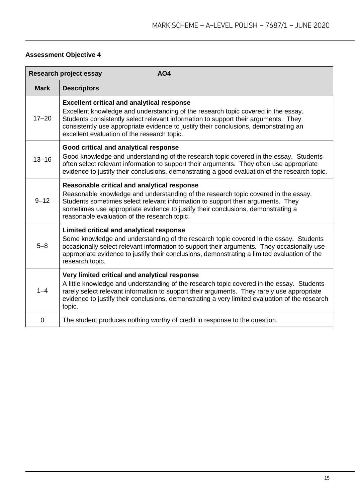# **Assessment Objective 4**

| <b>AO4</b><br><b>Research project essay</b> |                                                                                                                                                                                                                                                                                                                                                                     |  |
|---------------------------------------------|---------------------------------------------------------------------------------------------------------------------------------------------------------------------------------------------------------------------------------------------------------------------------------------------------------------------------------------------------------------------|--|
| <b>Mark</b>                                 | <b>Descriptors</b>                                                                                                                                                                                                                                                                                                                                                  |  |
| $17 - 20$                                   | <b>Excellent critical and analytical response</b><br>Excellent knowledge and understanding of the research topic covered in the essay.<br>Students consistently select relevant information to support their arguments. They<br>consistently use appropriate evidence to justify their conclusions, demonstrating an<br>excellent evaluation of the research topic. |  |
| $13 - 16$                                   | Good critical and analytical response<br>Good knowledge and understanding of the research topic covered in the essay. Students<br>often select relevant information to support their arguments. They often use appropriate<br>evidence to justify their conclusions, demonstrating a good evaluation of the research topic.                                         |  |
| $9 - 12$                                    | Reasonable critical and analytical response<br>Reasonable knowledge and understanding of the research topic covered in the essay.<br>Students sometimes select relevant information to support their arguments. They<br>sometimes use appropriate evidence to justify their conclusions, demonstrating a<br>reasonable evaluation of the research topic.            |  |
| $5 - 8$                                     | Limited critical and analytical response<br>Some knowledge and understanding of the research topic covered in the essay. Students<br>occasionally select relevant information to support their arguments. They occasionally use<br>appropriate evidence to justify their conclusions, demonstrating a limited evaluation of the<br>research topic.                  |  |
| $1 - 4$                                     | Very limited critical and analytical response<br>A little knowledge and understanding of the research topic covered in the essay. Students<br>rarely select relevant information to support their arguments. They rarely use appropriate<br>evidence to justify their conclusions, demonstrating a very limited evaluation of the research<br>topic.                |  |
| $\overline{0}$                              | The student produces nothing worthy of credit in response to the question.                                                                                                                                                                                                                                                                                          |  |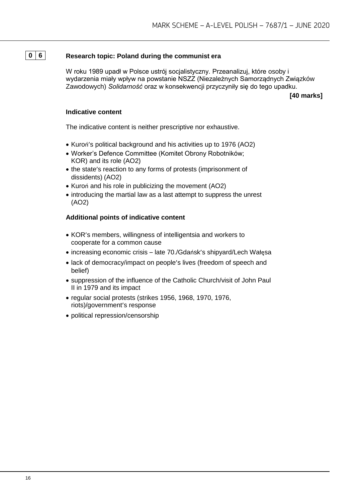# **0 6 Research topic: Poland during the communist era**

W roku 1989 upadł w Polsce ustrój socjalistyczny. Przeanalizuj, które osoby i wydarzenia miały wpływ na powstanie NSZZ (Niezależnych Samorządnych Związków Zawodowych) *Solidarność* oraz w konsekwencji przyczyniły się do tego upadku.

**[40 marks]**

#### **Indicative content**

The indicative content is neither prescriptive nor exhaustive.

- Kuroń's political background and his activities up to 1976 (AO2)
- Worker's Defence Committee (Komitet Obrony Robotników; KOR) and its role (AO2)
- the state's reaction to any forms of protests (imprisonment of dissidents) (AO2)
- Kuroń and his role in publicizing the movement (AO2)
- introducing the martial law as a last attempt to suppress the unrest (AO2)

- KOR's members, willingness of intelligentsia and workers to cooperate for a common cause
- increasing economic crisis late 70./Gdańsk's shipyard/Lech Wałęsa
- lack of democracy/impact on people's lives (freedom of speech and belief)
- suppression of the influence of the Catholic Church/visit of John Paul II in 1979 and its impact
- regular social protests (strikes 1956, 1968, 1970, 1976, riots)/government's response
- political repression/censorship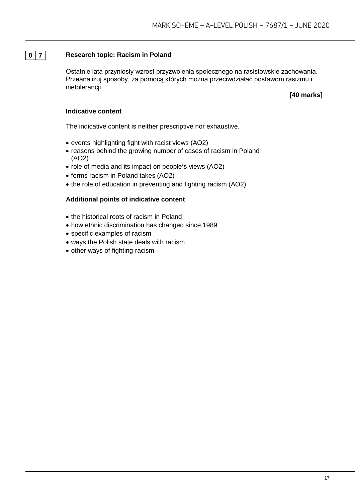#### **0 7 Research topic: Racism in Poland**

Ostatnie lata przyniosły wzrost przyzwolenia społecznego na rasistowskie zachowania. Przeanalizuj sposoby, za pomocą których można przeciwdziałać postawom rasizmu i nietolerancji.

**[40 marks]**

#### **Indicative content**

The indicative content is neither prescriptive nor exhaustive.

- events highlighting fight with racist views (AO2)
- reasons behind the growing number of cases of racism in Poland (AO2)
- role of media and its impact on people's views (AO2)
- forms racism in Poland takes (AO2)
- the role of education in preventing and fighting racism (AO2)

- the historical roots of racism in Poland
- how ethnic discrimination has changed since 1989
- specific examples of racism
- ways the Polish state deals with racism
- other ways of fighting racism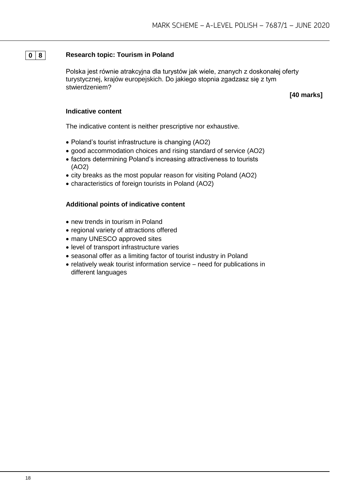#### **0 8 Research topic: Tourism in Poland**

Polska jest równie atrakcyjna dla turystów jak wiele, znanych z doskonałej oferty turystycznej, krajów europejskich. Do jakiego stopnia zgadzasz się z tym stwierdzeniem?

**[40 marks]**

#### **Indicative content**

The indicative content is neither prescriptive nor exhaustive.

- Poland's tourist infrastructure is changing (AO2)
- good accommodation choices and rising standard of service (AO2)
- factors determining Poland's increasing attractiveness to tourists (AO2)
- city breaks as the most popular reason for visiting Poland (AO2)
- characteristics of foreign tourists in Poland (AO2)

- new trends in tourism in Poland
- regional variety of attractions offered
- many UNESCO approved sites
- level of transport infrastructure varies
- seasonal offer as a limiting factor of tourist industry in Poland
- relatively weak tourist information service need for publications in different languages